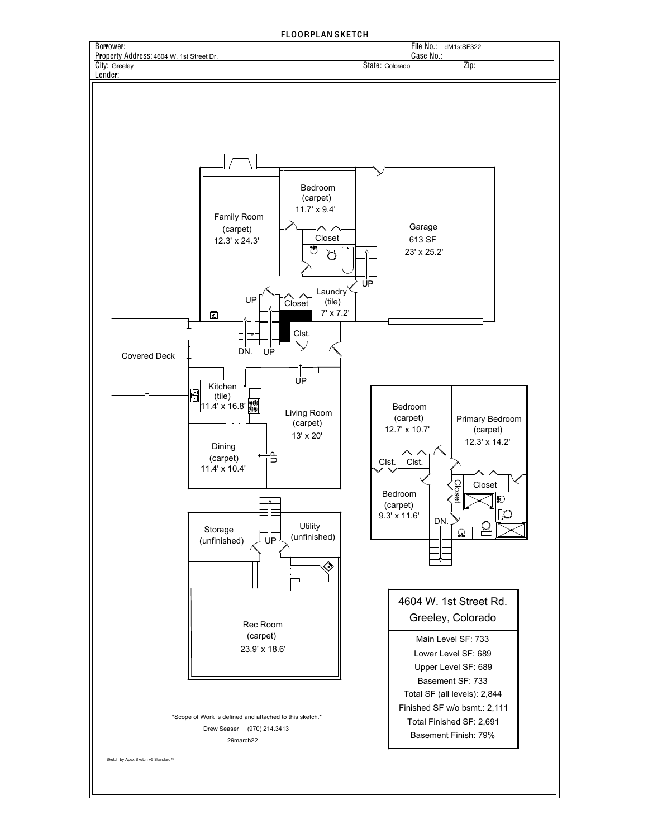## FLOORPLAN SKETCH